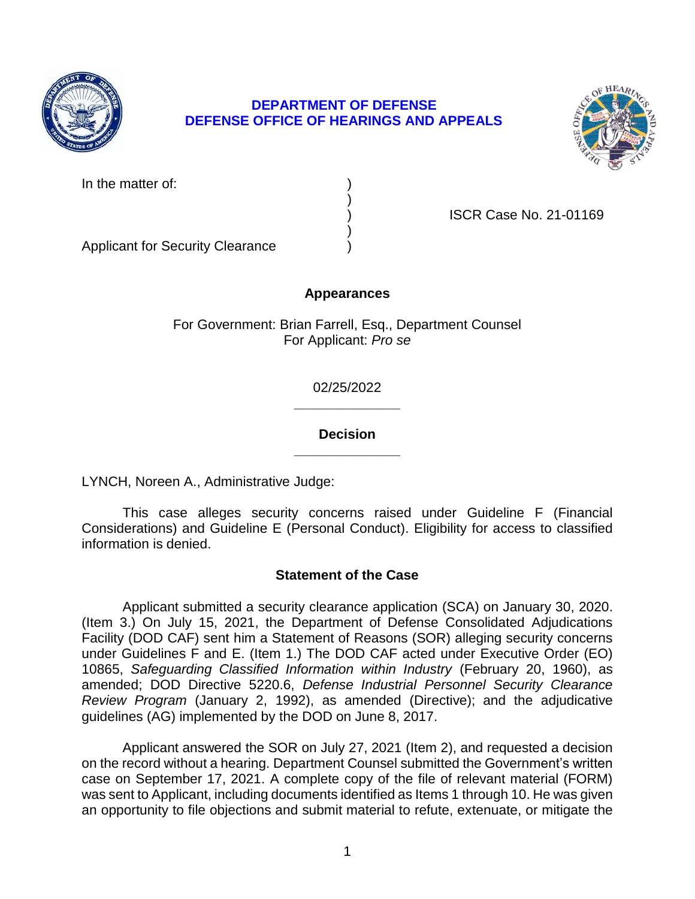

# **DEPARTMENT OF DEFENSE DEFENSE OFFICE OF HEARINGS AND APPEALS**



In the matter of:

) ISCR Case No. 21-01169

Applicant for Security Clearance )

# **Appearances**

)

)

For Government: Brian Farrell, Esq., Department Counsel For Applicant: *Pro se* 

> **\_\_\_\_\_\_\_\_\_\_\_\_\_\_**  02/25/2022

## **\_\_\_\_\_\_\_\_\_\_\_\_\_\_ Decision**

LYNCH, Noreen A., Administrative Judge:

 This case alleges security concerns raised under Guideline F (Financial Considerations) and Guideline E (Personal Conduct). Eligibility for access to classified information is denied.

# **Statement of the Case**

 (Item 3.) On July 15, 2021, the Department of Defense Consolidated Adjudications Facility (DOD CAF) sent him a Statement of Reasons (SOR) alleging security concerns under Guidelines F and E. (Item 1.) The DOD CAF acted under Executive Order (EO)  10865, *Safeguarding Classified Information within Industry* (February 20, 1960), as *Review Program* (January 2, 1992), as amended (Directive); and the adjudicative Applicant submitted a security clearance application (SCA) on January 30, 2020. amended; DOD Directive 5220.6, *Defense Industrial Personnel Security Clearance*  guidelines (AG) implemented by the DOD on June 8, 2017.

 Applicant answered the SOR on July 27, 2021 (Item 2), and requested a decision on the record without a hearing. Department Counsel submitted the Government's written case on September 17, 2021. A complete copy of the file of relevant material (FORM) was sent to Applicant, including documents identified as Items 1 through 10. He was given an opportunity to file objections and submit material to refute, extenuate, or mitigate the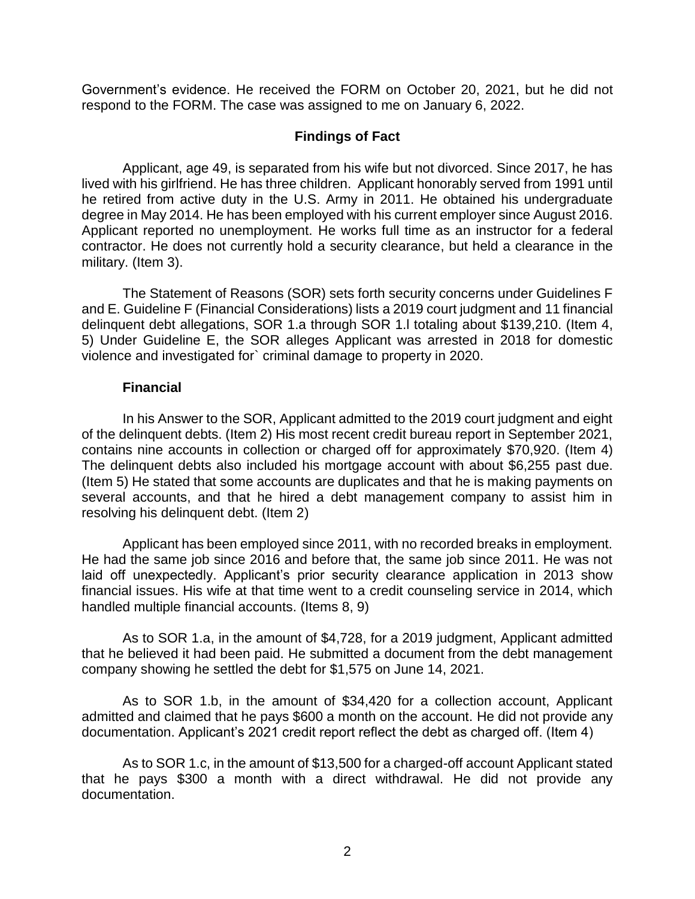Government's evidence. He received the FORM on October 20, 2021, but he did not respond to the FORM. The case was assigned to me on January 6, 2022.

### **Findings of Fact**

 Applicant, age 49, is separated from his wife but not divorced. Since 2017, he has lived with his girlfriend. He has three children. Applicant honorably served from 1991 until he retired from active duty in the U.S. Army in 2011. He obtained his undergraduate degree in May 2014. He has been employed with his current employer since August 2016. Applicant reported no unemployment. He works full time as an instructor for a federal contractor. He does not currently hold a security clearance, but held a clearance in the military. (Item 3).

The Statement of Reasons (SOR) sets forth security concerns under Guidelines F and E. Guideline F (Financial Considerations) lists a 2019 court judgment and 11 financial delinquent debt allegations, SOR 1.a through SOR 1.l totaling about \$139,210. (Item 4, 5) Under Guideline E, the SOR alleges Applicant was arrested in 2018 for domestic violence and investigated for` criminal damage to property in 2020.

### **Financial**

 In his Answer to the SOR, Applicant admitted to the 2019 court judgment and eight of the delinquent debts. (Item 2) His most recent credit bureau report in September 2021, contains nine accounts in collection or charged off for approximately \$70,920. (Item 4) The delinquent debts also included his mortgage account with about \$6,255 past due. (Item 5) He stated that some accounts are duplicates and that he is making payments on several accounts, and that he hired a debt management company to assist him in resolving his delinquent debt. (Item 2)

 Applicant has been employed since 2011, with no recorded breaks in employment. He had the same job since 2016 and before that, the same job since 2011. He was not laid off unexpectedly. Applicant's prior security clearance application in 2013 show financial issues. His wife at that time went to a credit counseling service in 2014, which handled multiple financial accounts. (Items 8, 9)

 As to SOR 1.a, in the amount of \$4,728, for a 2019 judgment, Applicant admitted that he believed it had been paid. He submitted a document from the debt management company showing he settled the debt for \$1,575 on June 14, 2021.

 As to SOR 1.b, in the amount of \$34,420 for a collection account, Applicant admitted and claimed that he pays \$600 a month on the account. He did not provide any documentation. Applicant's 2021 credit report reflect the debt as charged off. (Item 4)

 As to SOR 1.c, in the amount of \$13,500 for a charged-off account Applicant stated that he pays \$300 a month with a direct withdrawal. He did not provide any documentation.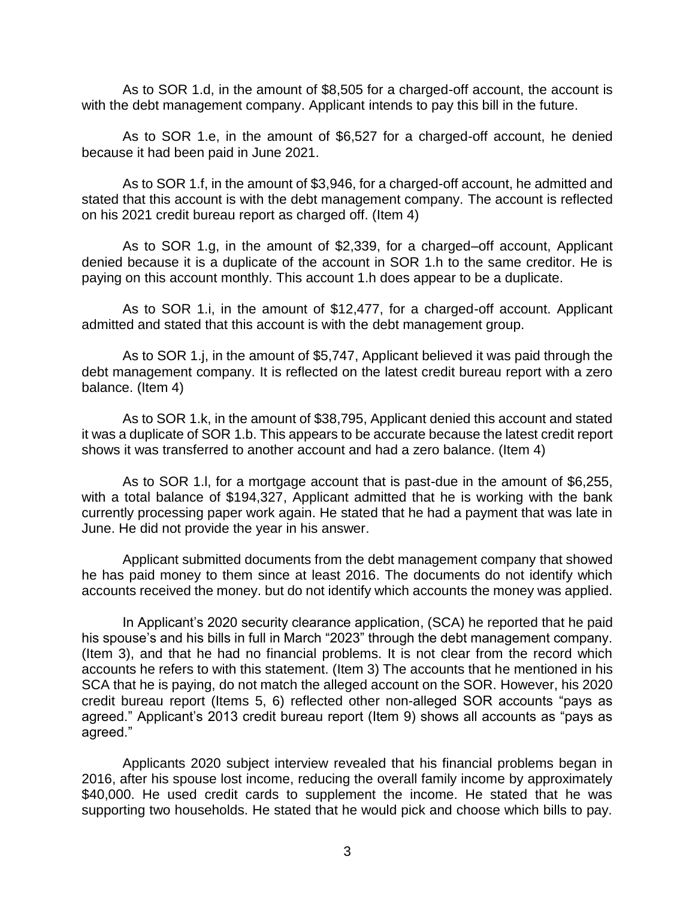As to SOR 1.d, in the amount of \$8,505 for a charged-off account, the account is with the debt management company. Applicant intends to pay this bill in the future.

 As to SOR 1.e, in the amount of \$6,527 for a charged-off account, he denied because it had been paid in June 2021.

 As to SOR 1.f, in the amount of \$3,946, for a charged-off account, he admitted and stated that this account is with the debt management company. The account is reflected on his 2021 credit bureau report as charged off. (Item 4)

 As to SOR 1.g, in the amount of \$2,339, for a charged–off account, Applicant denied because it is a duplicate of the account in SOR 1.h to the same creditor. He is paying on this account monthly. This account 1.h does appear to be a duplicate.

 As to SOR 1.i, in the amount of \$12,477, for a charged-off account. Applicant admitted and stated that this account is with the debt management group.

 As to SOR 1.j, in the amount of \$5,747, Applicant believed it was paid through the debt management company. It is reflected on the latest credit bureau report with a zero balance. (Item 4)

 As to SOR 1.k, in the amount of \$38,795, Applicant denied this account and stated it was a duplicate of SOR 1.b. This appears to be accurate because the latest credit report shows it was transferred to another account and had a zero balance. (Item 4)

 As to SOR 1.l, for a mortgage account that is past-due in the amount of \$6,255, with a total balance of \$194,327, Applicant admitted that he is working with the bank currently processing paper work again. He stated that he had a payment that was late in June. He did not provide the year in his answer.

 Applicant submitted documents from the debt management company that showed he has paid money to them since at least 2016. The documents do not identify which accounts received the money. but do not identify which accounts the money was applied.

 his spouse's and his bills in full in March "2023" through the debt management company. (Item 3), and that he had no financial problems. It is not clear from the record which accounts he refers to with this statement. (Item 3) The accounts that he mentioned in his SCA that he is paying, do not match the alleged account on the SOR. However, his 2020 credit bureau report (Items 5, 6) reflected other non-alleged SOR accounts "pays as agreed." Applicant's 2013 credit bureau report (Item 9) shows all accounts as "pays as In Applicant's 2020 security clearance application, (SCA) he reported that he paid agreed."

 Applicants 2020 subject interview revealed that his financial problems began in 2016, after his spouse lost income, reducing the overall family income by approximately \$40,000. He used credit cards to supplement the income. He stated that he was supporting two households. He stated that he would pick and choose which bills to pay.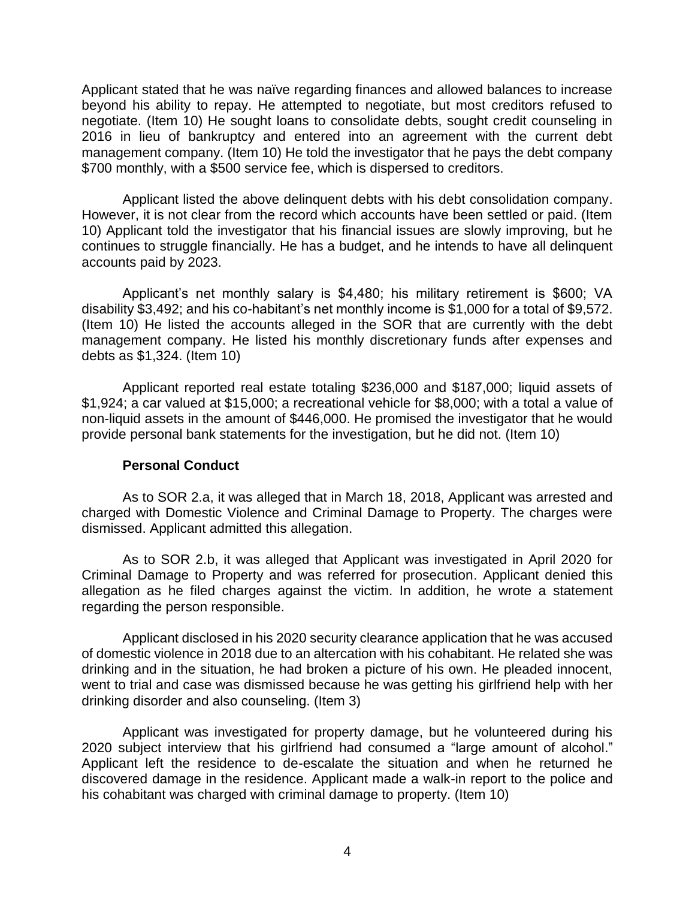Applicant stated that he was naïve regarding finances and allowed balances to increase beyond his ability to repay. He attempted to negotiate, but most creditors refused to negotiate. (Item 10) He sought loans to consolidate debts, sought credit counseling in 2016 in lieu of bankruptcy and entered into an agreement with the current debt management company. (Item 10) He told the investigator that he pays the debt company \$700 monthly, with a \$500 service fee, which is dispersed to creditors.

Applicant listed the above delinquent debts with his debt consolidation company. However, it is not clear from the record which accounts have been settled or paid. (Item 10) Applicant told the investigator that his financial issues are slowly improving, but he continues to struggle financially. He has a budget, and he intends to have all delinquent accounts paid by 2023.

 Applicant's net monthly salary is \$4,480; his military retirement is \$600; VA disability \$3,492; and his co-habitant's net monthly income is \$1,000 for a total of \$9,572. (Item 10) He listed the accounts alleged in the SOR that are currently with the debt management company. He listed his monthly discretionary funds after expenses and debts as \$1,324. (Item 10)

 Applicant reported real estate totaling \$236,000 and \$187,000; liquid assets of \$1,924; a car valued at \$15,000; a recreational vehicle for \$8,000; with a total a value of non-liquid assets in the amount of \$446,000. He promised the investigator that he would provide personal bank statements for the investigation, but he did not. (Item 10)

### **Personal Conduct**

 As to SOR 2.a, it was alleged that in March 18, 2018, Applicant was arrested and charged with Domestic Violence and Criminal Damage to Property. The charges were dismissed. Applicant admitted this allegation.

 As to SOR 2.b, it was alleged that Applicant was investigated in April 2020 for Criminal Damage to Property and was referred for prosecution. Applicant denied this allegation as he filed charges against the victim. In addition, he wrote a statement regarding the person responsible.

 Applicant disclosed in his 2020 security clearance application that he was accused of domestic violence in 2018 due to an altercation with his cohabitant. He related she was drinking and in the situation, he had broken a picture of his own. He pleaded innocent, went to trial and case was dismissed because he was getting his girlfriend help with her drinking disorder and also counseling. (Item 3)

 Applicant was investigated for property damage, but he volunteered during his 2020 subject interview that his girlfriend had consumed a "large amount of alcohol." Applicant left the residence to de-escalate the situation and when he returned he discovered damage in the residence. Applicant made a walk-in report to the police and his cohabitant was charged with criminal damage to property. (Item 10)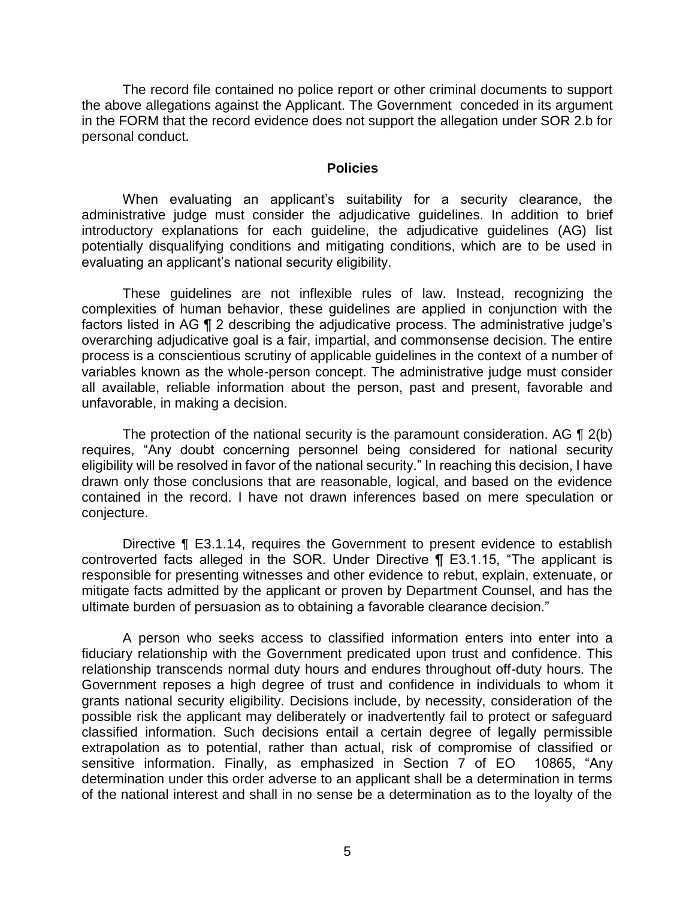The record file contained no police report or other criminal documents to support the above allegations against the Applicant. The Government conceded in its argument in the FORM that the record evidence does not support the allegation under SOR 2.b for personal conduct.

#### **Policies**

 When evaluating an applicant's suitability for a security clearance, the administrative judge must consider the adjudicative guidelines. In addition to brief potentially disqualifying conditions and mitigating conditions, which are to be used in introductory explanations for each guideline, the adjudicative guidelines (AG) list evaluating an applicant's national security eligibility.

 These guidelines are not inflexible rules of law. Instead, recognizing the complexities of human behavior, these guidelines are applied in conjunction with the factors listed in AG ¶ 2 describing the adjudicative process. The administrative judge's overarching adjudicative goal is a fair, impartial, and commonsense decision. The entire variables known as the whole-person concept. The administrative judge must consider all available, reliable information about the person, past and present, favorable and process is a conscientious scrutiny of applicable guidelines in the context of a number of unfavorable, in making a decision.

The protection of the national security is the paramount consideration. AG  $\P$  2(b) requires, "Any doubt concerning personnel being considered for national security eligibility will be resolved in favor of the national security." In reaching this decision, I have drawn only those conclusions that are reasonable, logical, and based on the evidence contained in the record. I have not drawn inferences based on mere speculation or conjecture.

Directive ¶ E3.1.14, requires the Government to present evidence to establish controverted facts alleged in the SOR. Under Directive ¶ E3.1.15, "The applicant is responsible for presenting witnesses and other evidence to rebut, explain, extenuate, or mitigate facts admitted by the applicant or proven by Department Counsel, and has the ultimate burden of persuasion as to obtaining a favorable clearance decision."

 A person who seeks access to classified information enters into enter into a fiduciary relationship with the Government predicated upon trust and confidence. This relationship transcends normal duty hours and endures throughout off-duty hours. The Government reposes a high degree of trust and confidence in individuals to whom it grants national security eligibility. Decisions include, by necessity, consideration of the possible risk the applicant may deliberately or inadvertently fail to protect or safeguard classified information. Such decisions entail a certain degree of legally permissible extrapolation as to potential, rather than actual, risk of compromise of classified or sensitive information. Finally, as emphasized in Section 7 of EO 10865, "Any determination under this order adverse to an applicant shall be a determination in terms of the national interest and shall in no sense be a determination as to the loyalty of the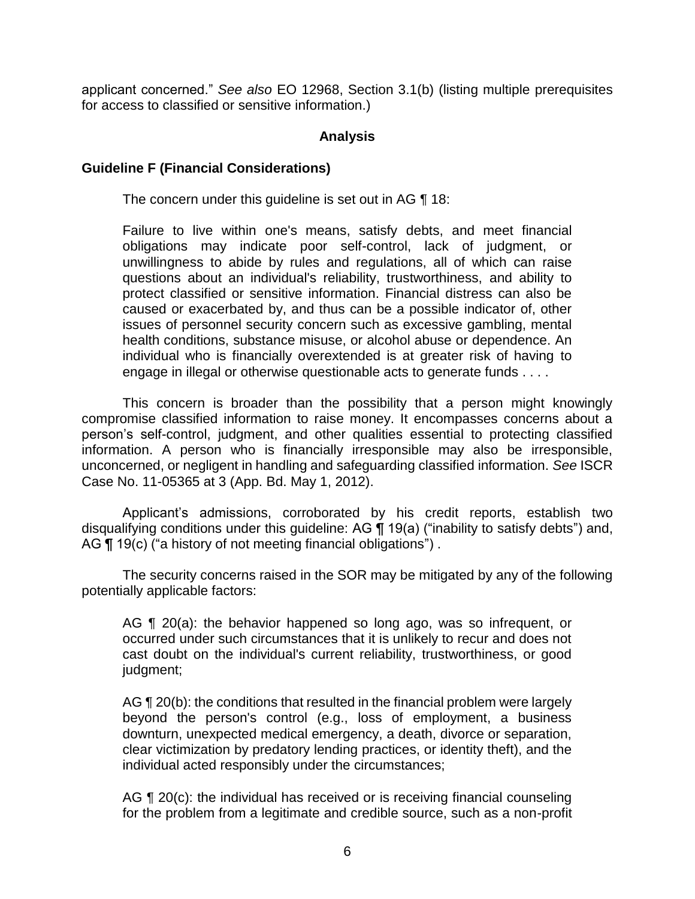applicant concerned." *See also* EO 12968, Section 3.1(b) (listing multiple prerequisites for access to classified or sensitive information.)

### **Analysis**

### **Guideline F (Financial Considerations)**

The concern under this guideline is set out in AG 18:

Failure to live within one's means, satisfy debts, and meet financial obligations may indicate poor self-control, lack of judgment, or unwillingness to abide by rules and regulations, all of which can raise questions about an individual's reliability, trustworthiness, and ability to protect classified or sensitive information. Financial distress can also be caused or exacerbated by, and thus can be a possible indicator of, other issues of personnel security concern such as excessive gambling, mental health conditions, substance misuse, or alcohol abuse or dependence. An individual who is financially overextended is at greater risk of having to engage in illegal or otherwise questionable acts to generate funds . . . .

 This concern is broader than the possibility that a person might knowingly compromise classified information to raise money. It encompasses concerns about a person's self-control, judgment, and other qualities essential to protecting classified information. A person who is financially irresponsible may also be irresponsible, unconcerned, or negligent in handling and safeguarding classified information. *See* ISCR Case No. 11-05365 at 3 (App. Bd. May 1, 2012).

 Applicant's admissions, corroborated by his credit reports, establish two disqualifying conditions under this guideline: AG ¶ 19(a) ("inability to satisfy debts") and, AG ¶ 19(c) ("a history of not meeting financial obligations").

 The security concerns raised in the SOR may be mitigated by any of the following potentially applicable factors:

AG ¶ 20(a): the behavior happened so long ago, was so infrequent, or occurred under such circumstances that it is unlikely to recur and does not cast doubt on the individual's current reliability, trustworthiness, or good judgment;

AG ¶ 20(b): the conditions that resulted in the financial problem were largely beyond the person's control (e.g., loss of employment, a business clear victimization by predatory lending practices, or identity theft), and the downturn, unexpected medical emergency, a death, divorce or separation, individual acted responsibly under the circumstances;

AG ¶ 20(c): the individual has received or is receiving financial counseling for the problem from a legitimate and credible source, such as a non-profit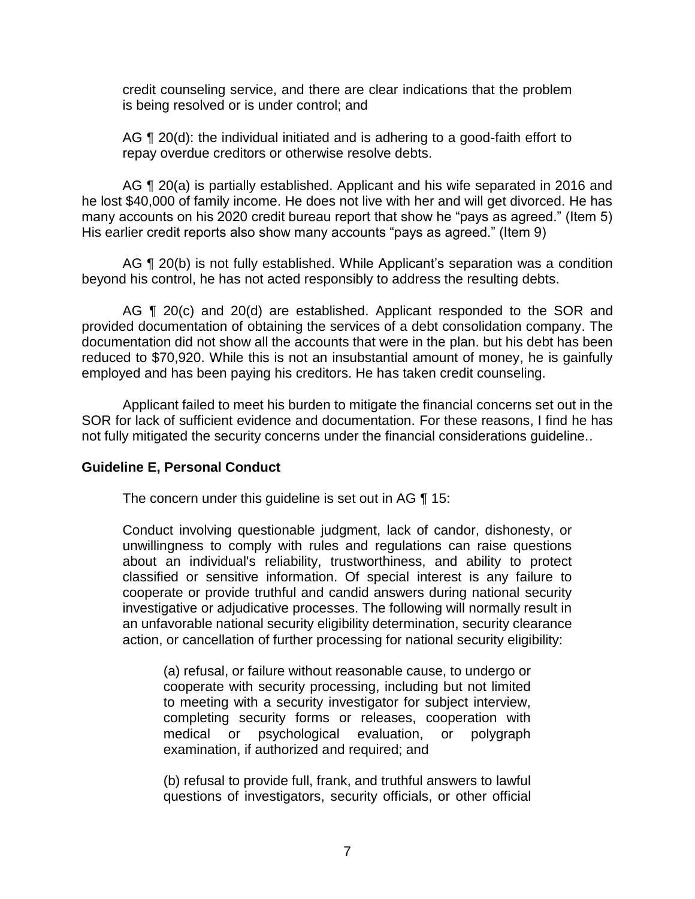credit counseling service, and there are clear indications that the problem is being resolved or is under control; and

AG ¶ 20(d): the individual initiated and is adhering to a good-faith effort to repay overdue creditors or otherwise resolve debts.

AG ¶ 20(a) is partially established. Applicant and his wife separated in 2016 and he lost \$40,000 of family income. He does not live with her and will get divorced. He has many accounts on his 2020 credit bureau report that show he "pays as agreed." (Item 5) His earlier credit reports also show many accounts "pays as agreed." (Item 9)

AG ¶ 20(b) is not fully established. While Applicant's separation was a condition beyond his control, he has not acted responsibly to address the resulting debts.

AG ¶ 20(c) and 20(d) are established. Applicant responded to the SOR and provided documentation of obtaining the services of a debt consolidation company. The documentation did not show all the accounts that were in the plan. but his debt has been reduced to \$70,920. While this is not an insubstantial amount of money, he is gainfully employed and has been paying his creditors. He has taken credit counseling.

 Applicant failed to meet his burden to mitigate the financial concerns set out in the SOR for lack of sufficient evidence and documentation. For these reasons, I find he has not fully mitigated the security concerns under the financial considerations guideline..

### **Guideline E, Personal Conduct**

The concern under this guideline is set out in AG ¶ 15:

Conduct involving questionable judgment, lack of candor, dishonesty, or unwillingness to comply with rules and regulations can raise questions about an individual's reliability, trustworthiness, and ability to protect classified or sensitive information. Of special interest is any failure to cooperate or provide truthful and candid answers during national security investigative or adjudicative processes. The following will normally result in an unfavorable national security eligibility determination, security clearance action, or cancellation of further processing for national security eligibility:

(a) refusal, or failure without reasonable cause, to undergo or cooperate with security processing, including but not limited to meeting with a security investigator for subject interview, completing security forms or releases, cooperation with medical or psychological evaluation, or polygraph examination, if authorized and required; and

(b) refusal to provide full, frank, and truthful answers to lawful questions of investigators, security officials, or other official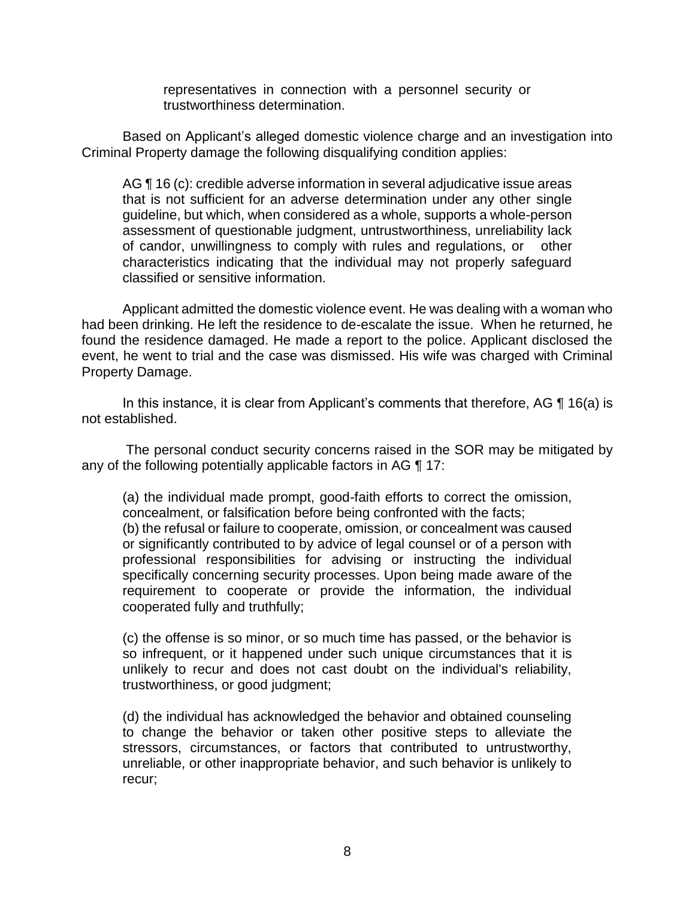representatives in connection with a personnel security or trustworthiness determination.

 Based on Applicant's alleged domestic violence charge and an investigation into Criminal Property damage the following disqualifying condition applies:

AG ¶ 16 (c): credible adverse information in several adjudicative issue areas that is not sufficient for an adverse determination under any other single guideline, but which, when considered as a whole, supports a whole-person assessment of questionable judgment, untrustworthiness, unreliability lack of candor, unwillingness to comply with rules and regulations, or other characteristics indicating that the individual may not properly safeguard classified or sensitive information.

 Applicant admitted the domestic violence event. He was dealing with a woman who found the residence damaged. He made a report to the police. Applicant disclosed the event, he went to trial and the case was dismissed. His wife was charged with Criminal had been drinking. He left the residence to de-escalate the issue. When he returned, he Property Damage.

In this instance, it is clear from Applicant's comments that therefore, AG  $\P$  16(a) is not established.

 The personal conduct security concerns raised in the SOR may be mitigated by any of the following potentially applicable factors in AG ¶ 17:

(a) the individual made prompt, good-faith efforts to correct the omission, concealment, or falsification before being confronted with the facts; (b) the refusal or failure to cooperate, omission, or concealment was caused or significantly contributed to by advice of legal counsel or of a person with professional responsibilities for advising or instructing the individual specifically concerning security processes. Upon being made aware of the requirement to cooperate or provide the information, the individual cooperated fully and truthfully;

(c) the offense is so minor, or so much time has passed, or the behavior is so infrequent, or it happened under such unique circumstances that it is unlikely to recur and does not cast doubt on the individual's reliability, trustworthiness, or good judgment;

(d) the individual has acknowledged the behavior and obtained counseling to change the behavior or taken other positive steps to alleviate the stressors, circumstances, or factors that contributed to untrustworthy, unreliable, or other inappropriate behavior, and such behavior is unlikely to recur;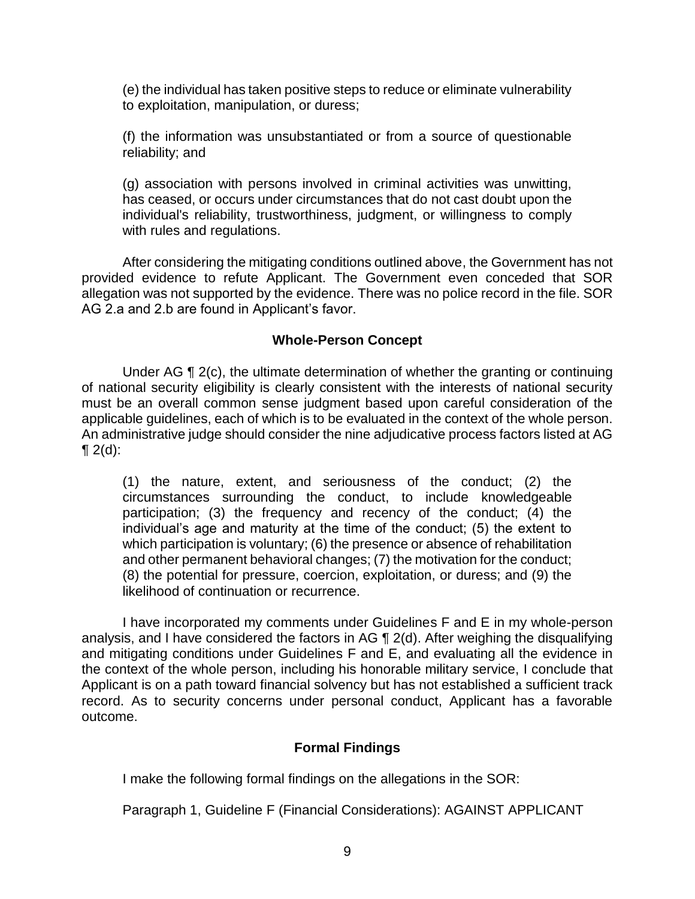(e) the individual has taken positive steps to reduce or eliminate vulnerability to exploitation, manipulation, or duress;

(f) the information was unsubstantiated or from a source of questionable reliability; and

(g) association with persons involved in criminal activities was unwitting, has ceased, or occurs under circumstances that do not cast doubt upon the individual's reliability, trustworthiness, judgment, or willingness to comply with rules and regulations.

 After considering the mitigating conditions outlined above, the Government has not provided evidence to refute Applicant. The Government even conceded that SOR allegation was not supported by the evidence. There was no police record in the file. SOR AG 2.a and 2.b are found in Applicant's favor.

### **Whole-Person Concept**

 Under AG ¶ 2(c), the ultimate determination of whether the granting or continuing of national security eligibility is clearly consistent with the interests of national security must be an overall common sense judgment based upon careful consideration of the applicable guidelines, each of which is to be evaluated in the context of the whole person. An administrative judge should consider the nine adjudicative process factors listed at AG  $\P 2(d)$ :

(1) the nature, extent, and seriousness of the conduct; (2) the circumstances surrounding the conduct, to include knowledgeable participation; (3) the frequency and recency of the conduct; (4) the individual's age and maturity at the time of the conduct; (5) the extent to which participation is voluntary; (6) the presence or absence of rehabilitation and other permanent behavioral changes; (7) the motivation for the conduct; (8) the potential for pressure, coercion, exploitation, or duress; and (9) the likelihood of continuation or recurrence.

 I have incorporated my comments under Guidelines F and E in my whole-person and mitigating conditions under Guidelines F and E, and evaluating all the evidence in the context of the whole person, including his honorable military service, I conclude that record. As to security concerns under personal conduct, Applicant has a favorable analysis, and I have considered the factors in AG ¶ 2(d). After weighing the disqualifying Applicant is on a path toward financial solvency but has not established a sufficient track outcome.

### **Formal Findings**

I make the following formal findings on the allegations in the SOR:

Paragraph 1, Guideline F (Financial Considerations): AGAINST APPLICANT